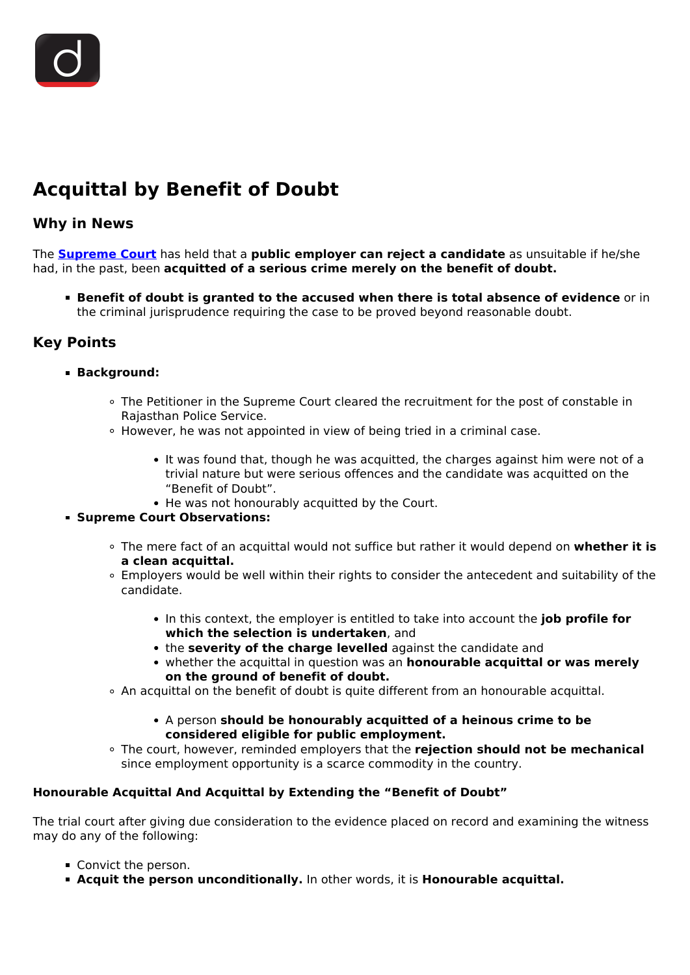# **Acquittal by Benefit of Doubt**

## **Why in News**

The **[Supreme Court](/important-institutions/drishti-specials-important-institutions-national-institutions/supreme-court-of-india)** has held that a **public employer can reject a candidate** as unsuitable if he/she had, in the past, been **acquitted of a serious crime merely on the benefit of doubt.**

**Benefit of doubt is granted to the accused when there is total absence of evidence** or in the criminal jurisprudence requiring the case to be proved beyond reasonable doubt.

# **Key Points**

#### **Background:**

- The Petitioner in the Supreme Court cleared the recruitment for the post of constable in Rajasthan Police Service.
- $\circ$  However, he was not appointed in view of being tried in a criminal case.
	- It was found that, though he was acquitted, the charges against him were not of a trivial nature but were serious offences and the candidate was acquitted on the "Benefit of Doubt".
	- He was not honourably acquitted by the Court.

## **Supreme Court Observations:**

- The mere fact of an acquittal would not suffice but rather it would depend on **whether it is a clean acquittal.**
- Employers would be well within their rights to consider the antecedent and suitability of the candidate.
	- In this context, the employer is entitled to take into account the **job profile for which the selection is undertaken**, and
	- the **severity of the charge levelled** against the candidate and
	- whether the acquittal in question was an **honourable acquittal or was merely on the ground of benefit of doubt.**
- An acquittal on the benefit of doubt is quite different from an honourable acquittal.
	- A person **should be honourably acquitted of a heinous crime to be considered eligible for public employment.**
- The court, however, reminded employers that the **rejection should not be mechanical** since employment opportunity is a scarce commodity in the country.

## **Honourable Acquittal And Acquittal by Extending the "Benefit of Doubt"**

The trial court after giving due consideration to the evidence placed on record and examining the witness may do any of the following:

- Convict the person.
- **Acquit the person unconditionally.** In other words, it is **Honourable acquittal.**